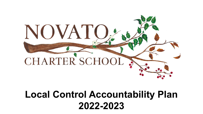

# **Local Control Accountability Plan 2022-2023**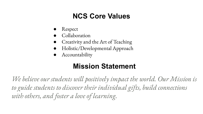### **NCS Core Values**

- **Respect**
- Collaboration
- Creativity and the Art of Teaching
- Holistic/Developmental Approach
- Accountability

## **Mission Statement**

*We believe our students will positively impact the world. Our Mission is to guide students to discover their individual gifts, build connections with others, and foster a love of learning.*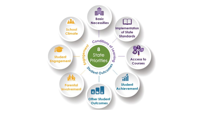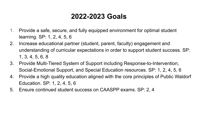### **2022-2023 Goals**

- 1. Provide a safe, secure, and fully equipped environment for optimal student learning. SP: 1, 2, 4, 5, 6
- 2. Increase educational partner (student, parent, faculty) engagement and understanding of curricular expectations in order to support student success. SP: 1, 3, 4, 5, 6, 8
- 3. Provide Multi-Tiered System of Support including Response-to-Intervention, Social-Emotional Support, and Special Education resources. SP: 1, 2, 4, 5, 6
- 4. Provide a high quality education aligned with the core principles of Public Waldorf Education. SP: 1, 2, 4, 5, 6
- 5. Ensure continued student success on CAASPP exams. SP: 2, 4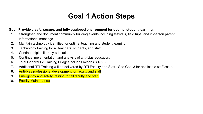### **Goal 1 Action Steps**

#### **Goal: Provide a safe, secure, and fully equipped environment for optimal student learning.**

- 1. Strengthen and document community building events including festivals, field trips, and in-person parent informational meetings.
- 2. Maintain technology identified for optimal teaching and student learning.
- 3. Technology training for all teachers, students, and staff.
- 4. Continue digital literacy education.
- 5. Continue implementation and analysis of anti-bias education.
- 6. Total General Ed Training Budget includes Actions 3,4,& 5
- 7. Additional RTI Training will be delivered by RTI Faculty and Staff See Goal 3 for applicable staff costs.
- 8. Anti-bias professional development for faculty and staff
- 9. Emergency and safety training for all faculty and staff.
- 10. Facility Maintenance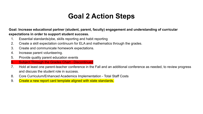### **Goal 2 Action Steps**

**Goal: Increase educational partner (student, parent, faculty) engagement and understanding of curricular expectations in order to support student success.**

- 1. Essential standards/pbe, skills reporting and habit reporting
- 2. Create a skill expectation continuum for ELA and mathematics through the grades.
- 3. Create and communicate homework expectations.
- 4. Increase parent volunteering.
- 5. Provide quality parent education events
- 6. Subject Through the Grades Chart Discontinued
- 7. Hold at least one parent-teacher conference in the Fall and an additional conference as needed, to review progress and discuss the student role in success.
- 8. Core Curriculum/Enhanced Academics Implementation Total Staff Costs
- 9. Create a new report card template aligned with state standards.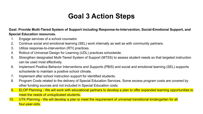### **Goal 3 Action Steps**

#### **Goal: Provide Multi-Tiered System of Support including Response-to-Intervention, Social-Emotional Support, and Special Education resources.**

- 1. Engage services of a school counselor.
- 2. Continue social and emotional learning (SEL) work internally as well as with community partners.
- 3. Utilize response-to-intervention (RTI) practices.
- 4. Rollout of Universal Design for Learning (UDL) practices schoolwide.
- 5. Strengthen designated Multi-Tiered System of Support (MTSS) to assess student needs so that targeted instruction can be used most effectively.
- 6. Implement Positive Behavior Interventions and Supports (PBIS) and social and emotional learning (SEL) supports schoolwide to maintain a positive school climate.
- 7. Implement after school instruction support for identified students.
- 8. Program Costs related to the delivery of Special Education Services. Some excess program costs are covered by other funding sources and not included in Special Education costs
- 9. ELOP Planning We will work with educational partners to develop a plan to offer expanded learning opportunities to meet the needs of unduplicated students.
- 10. UTK Planning We will develop a plan to meet the requirement of universal transitional kindergarten for all four-year-olds.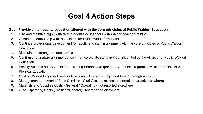### **Goal 4 Action Steps**

#### **Goal: Provide a high quality education aligned with the core principles of Public Waldorf Education.**

- 1. Hire and maintain highly qualified, credentialed teachers with Waldorf teacher training.
- 2. Continue membership with the Alliance for Public Waldorf Education
- 3. Continue professional development for faculty and staff in alignment with the core principles of Public Waldorf Education
- 4. Maintain and strengthen arts curriculum
- 5. Confirm and analyze alignment of common core state standards as articulated by the Alliance for Public Waldorf Education.
- 6. Faculty Salaries and Benefits for delivering Enhanced/Expanded Curricular Programs Music, Practical Arts, Physical Education
- 7. Cost of Waldorf Program Class Materials and Supplies (Objects 4300-01 through 4300-09)
- 8. Management and Admin / Food Services Staff Costs (excl costs reported separately elsewhere)
- 9. Materials and Supplies Costs General / Operating not reported elsewhere
- 10. Other Operating Costs (Facilities/General) not reported elsewhere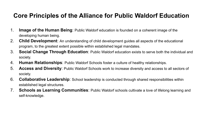### **Core Principles of the Alliance for Public Waldorf Education**

- 1. **Image of the Human Being**: Public Waldorf education is founded on a coherent image of the developing human being.
- 2. **Child Development**: An understanding of child development guides all aspects of the educational program, to the greatest extent possible within established legal mandates.
- 3. **Social Change Through Education**: Public Waldorf education exists to serve both the individual and society.
- 4. **Human Relationships**: Public Waldorf Schools foster a culture of healthy relationships.
- 5. **Access and Diversity**: Public Waldorf Schools work to increase diversity and access to all sectors of society.
- 6. **Collaborative Leadership**: School leadership is conducted through shared responsibilities within established legal structures.
- 7. **Schools as Learning Communities**: Public Waldorf schools cultivate a love of lifelong learning and self-knowledge.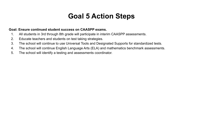### **Goal 5 Action Steps**

#### **Goal: Ensure continued student success on CAASPP exams.**

- 1. All students in 3rd through 8th grade will participate in interim CAASPP assessments.
- 2. Educate teachers and students on test taking strategies.
- 3. The school will continue to use Universal Tools and Designated Supports for standardized tests.
- 4. The school will continue English Language Arts (ELA) and mathematics benchmark assessments.
- 5. The school will identify a testing and assessments coordinator.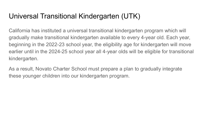### Universal Transitional Kindergarten (UTK)

California has instituted a universal transitional kindergarten program which will gradually make transitional kindergarten available to every 4-year old. Each year, beginning in the 2022-23 school year, the eligibility age for kindergarten will move earlier until in the 2024-25 school year all 4-year olds will be eligible for transitional kindergarten.

As a result, Novato Charter School must prepare a plan to gradually integrate these younger children into our kindergarten program.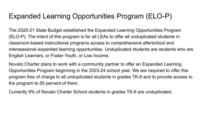### Expanded Learning Opportunities Program (ELO-P)

The 2020-21 State Budget established the Expanded Learning Opportunities Program (ELO-P). The intent of this program is for all LEAs to offer all unduplicated students in classroom-based instructional programs access to comprehensive afterschool and intersessional expanded learning opportunities. Unduplicated students are students who are English Learners, or Foster Youth, or Low Income.

Novato Charter plans to work with a community partner to offer an Expanded Learning Opportunities Program beginning in the 2023-24 school year. We are required to offer this program free of charge to all unduplicated students in grades TK-6 and to provide access to the program to 50 percent of them.

Currently 9% of Novato Charter School students in grades TK-6 are unduplicated.